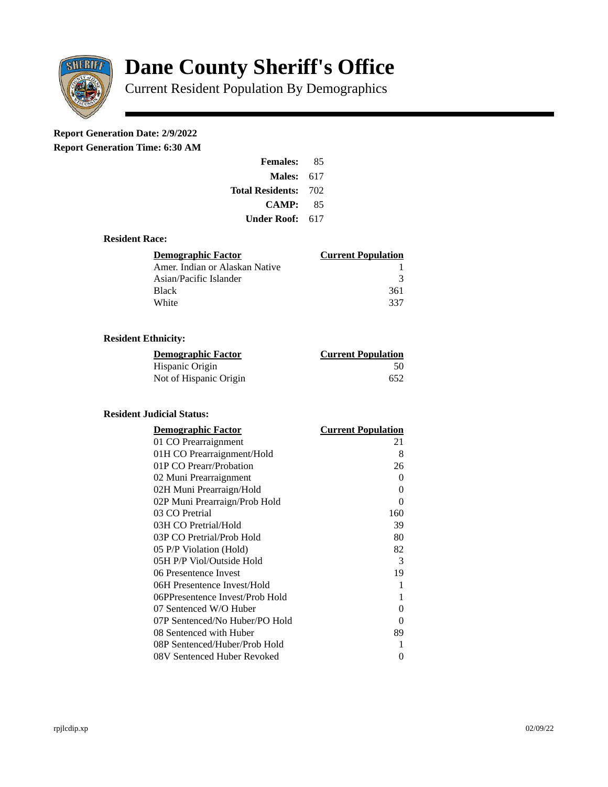

# **Dane County Sheriff's Office**

Current Resident Population By Demographics

## **Report Generation Date: 2/9/2022**

**Report Generation Time: 6:30 AM** 

| <b>Females:</b>         | 85  |  |
|-------------------------|-----|--|
| Males:                  | 617 |  |
| <b>Total Residents:</b> | 702 |  |
| <b>CAMP:</b>            | 85  |  |
| Under Roof: \           | 617 |  |

#### **Resident Race:**

| Demographic Factor             | <b>Current Population</b> |
|--------------------------------|---------------------------|
| Amer. Indian or Alaskan Native |                           |
| Asian/Pacific Islander         | २                         |
| <b>Black</b>                   | 361                       |
| White                          | 337                       |

### **Resident Ethnicity:**

| <u>Demographic Factor</u> | <u>Current Population</u> |
|---------------------------|---------------------------|
| Hispanic Origin           | 50                        |
| Not of Hispanic Origin    | 652                       |

#### **Resident Judicial Status:**

| <b>Demographic Factor</b>       | <b>Current Population</b> |
|---------------------------------|---------------------------|
| 01 CO Prearraignment            | 21                        |
| 01H CO Prearraignment/Hold      | 8                         |
| 01P CO Prearr/Probation         | 26                        |
| 02 Muni Prearraignment          | 0                         |
| 02H Muni Prearraign/Hold        | 0                         |
| 02P Muni Prearraign/Prob Hold   | 0                         |
| 03 CO Pretrial                  | 160                       |
| 03H CO Pretrial/Hold            | 39                        |
| 03P CO Pretrial/Prob Hold       | 80                        |
| 05 P/P Violation (Hold)         | 82                        |
| 05H P/P Viol/Outside Hold       | 3                         |
| 06 Presentence Invest           | 19                        |
| 06H Presentence Invest/Hold     | 1                         |
| 06PPresentence Invest/Prob Hold | 1                         |
| 07 Sentenced W/O Huber          | 0                         |
| 07P Sentenced/No Huber/PO Hold  | 0                         |
| 08 Sentenced with Huber         | 89                        |
| 08P Sentenced/Huber/Prob Hold   | 1                         |
| 08V Sentenced Huber Revoked     | 0                         |